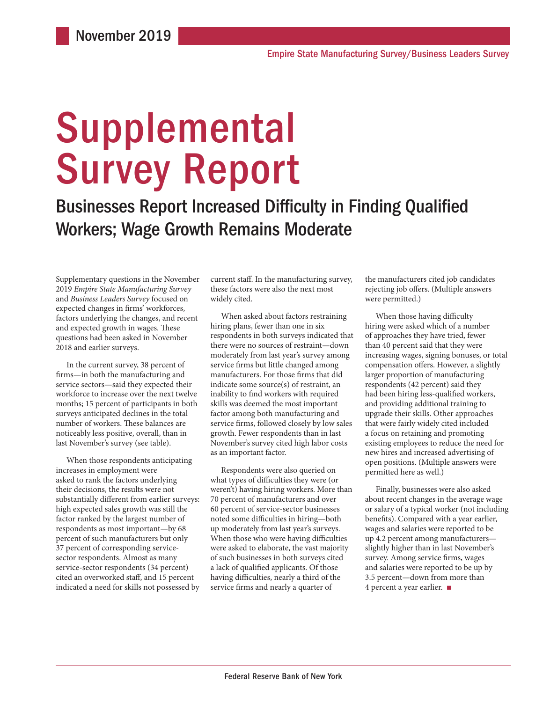# Supplemental Survey Report

Businesses Report Increased Difficulty in Finding Qualified Workers; Wage Growth Remains Moderate

Supplementary questions in the November 2019 *Empire State Manufacturing Survey*  and *Business Leaders Survey* focused on expected changes in firms' workforces, factors underlying the changes, and recent and expected growth in wages. These questions had been asked in November 2018 and earlier surveys.

In the current survey, 38 percent of firms—in both the manufacturing and service sectors—said they expected their workforce to increase over the next twelve months; 15 percent of participants in both surveys anticipated declines in the total number of workers. These balances are noticeably less positive, overall, than in last November's survey (see table).

When those respondents anticipating increases in employment were asked to rank the factors underlying their decisions, the results were not substantially different from earlier surveys: high expected sales growth was still the factor ranked by the largest number of respondents as most important—by 68 percent of such manufacturers but only 37 percent of corresponding servicesector respondents. Almost as many service-sector respondents (34 percent) cited an overworked staff, and 15 percent indicated a need for skills not possessed by

current staff. In the manufacturing survey, these factors were also the next most widely cited.

When asked about factors restraining hiring plans, fewer than one in six respondents in both surveys indicated that there were no sources of restraint—down moderately from last year's survey among service firms but little changed among manufacturers. For those firms that did indicate some source(s) of restraint, an inability to find workers with required skills was deemed the most important factor among both manufacturing and service firms, followed closely by low sales growth. Fewer respondents than in last November's survey cited high labor costs as an important factor.

Respondents were also queried on what types of difficulties they were (or weren't) having hiring workers. More than 70 percent of manufacturers and over 60 percent of service-sector businesses noted some difficulties in hiring—both up moderately from last year's surveys. When those who were having difficulties were asked to elaborate, the vast majority of such businesses in both surveys cited a lack of qualified applicants. Of those having difficulties, nearly a third of the service firms and nearly a quarter of

the manufacturers cited job candidates rejecting job offers. (Multiple answers were permitted.)

When those having difficulty hiring were asked which of a number of approaches they have tried, fewer than 40 percent said that they were increasing wages, signing bonuses, or total compensation offers. However, a slightly larger proportion of manufacturing respondents (42 percent) said they had been hiring less-qualified workers, and providing additional training to upgrade their skills. Other approaches that were fairly widely cited included a focus on retaining and promoting existing employees to reduce the need for new hires and increased advertising of open positions. (Multiple answers were permitted here as well.)

Finally, businesses were also asked about recent changes in the average wage or salary of a typical worker (not including benefits). Compared with a year earlier, wages and salaries were reported to be up 4.2 percent among manufacturers slightly higher than in last November's survey. Among service firms, wages and salaries were reported to be up by 3.5 percent—down from more than 4 percent a year earlier. ■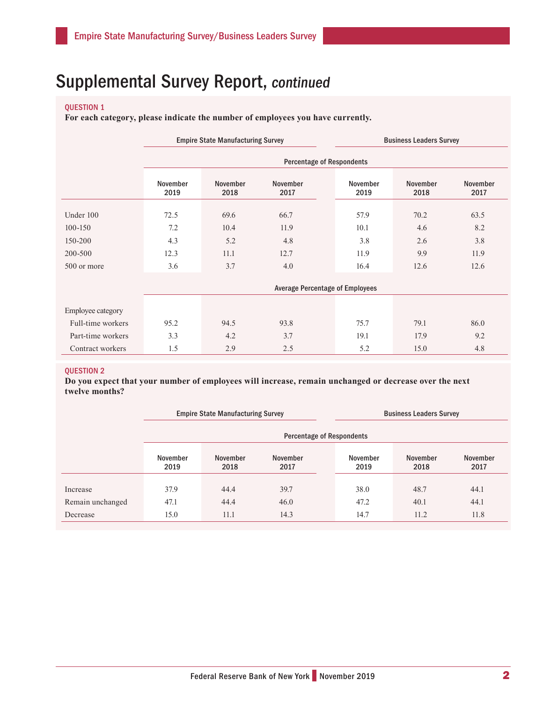### QUESTION 1

**For each category, please indicate the number of employees you have currently.**

|                   |                  | <b>Empire State Manufacturing Survey</b> |                  |                                        | <b>Business Leaders Survey</b> |                  |  |  |  |
|-------------------|------------------|------------------------------------------|------------------|----------------------------------------|--------------------------------|------------------|--|--|--|
|                   |                  | <b>Percentage of Respondents</b>         |                  |                                        |                                |                  |  |  |  |
|                   | November<br>2019 | November<br>2018                         | November<br>2017 | November<br>2019                       | November<br>2018               | November<br>2017 |  |  |  |
| Under 100         | 72.5             | 69.6                                     | 66.7             | 57.9                                   | 70.2                           | 63.5             |  |  |  |
| $100 - 150$       | 7.2              | 10.4                                     | 11.9             | 10.1                                   | 4.6                            | 8.2              |  |  |  |
| 150-200           | 4.3              | 5.2                                      | 4.8              | 3.8                                    | 2.6                            | 3.8              |  |  |  |
| 200-500           | 12.3             | 11.1                                     | 12.7             | 11.9                                   | 9.9                            | 11.9             |  |  |  |
| 500 or more       | 3.6              | 3.7                                      | 4.0              |                                        | 12.6                           | 12.6             |  |  |  |
|                   |                  |                                          |                  | <b>Average Percentage of Employees</b> |                                |                  |  |  |  |
| Employee category |                  |                                          |                  |                                        |                                |                  |  |  |  |
| Full-time workers | 95.2             | 94.5                                     | 93.8             | 75.7                                   | 79.1                           | 86.0             |  |  |  |
| Part-time workers | 3.3              | 4.2                                      | 3.7              | 19.1                                   | 17.9                           | 9.2              |  |  |  |
| Contract workers  | 1.5              | 2.9                                      | 2.5              | 5.2                                    | 15.0                           | 4.8              |  |  |  |

### QUESTION 2

**Do you expect that your number of employees will increase, remain unchanged or decrease over the next twelve months?**

|                  |                  | <b>Empire State Manufacturing Survey</b>    |                                  | <b>Business Leaders Survey</b> |                  |                         |  |
|------------------|------------------|---------------------------------------------|----------------------------------|--------------------------------|------------------|-------------------------|--|
|                  |                  |                                             | <b>Percentage of Respondents</b> |                                |                  |                         |  |
|                  | November<br>2019 | <b>November</b><br>November<br>2018<br>2017 |                                  | November<br>2019               | November<br>2018 | <b>November</b><br>2017 |  |
| Increase         | 37.9             | 44.4                                        | 39.7                             | 38.0                           | 48.7             | 44.1                    |  |
| Remain unchanged | 47.1             | 44.4                                        | 46.0                             | 47.2                           | 40.1             | 44.1                    |  |
| Decrease         | 15.0             | 11.1                                        | 14.3                             | 14.7                           | 11.2             | 11.8                    |  |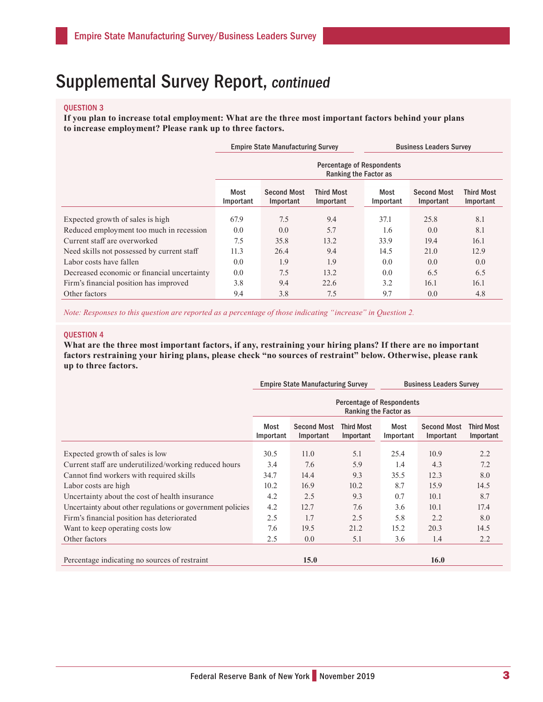### QUESTION 3

**If you plan to increase total employment: What are the three most important factors behind your plans to increase employment? Please rank up to three factors.**

|                                             |                                                           | <b>Empire State Manufacturing Survey</b> |                                | <b>Business Leaders Survey</b> |                                 |                                |  |  |  |
|---------------------------------------------|-----------------------------------------------------------|------------------------------------------|--------------------------------|--------------------------------|---------------------------------|--------------------------------|--|--|--|
|                                             | <b>Percentage of Respondents</b><br>Ranking the Factor as |                                          |                                |                                |                                 |                                |  |  |  |
|                                             | Most<br>Important                                         | <b>Second Most</b><br>Important          | <b>Third Most</b><br>Important | Most<br>Important              | <b>Second Most</b><br>Important | <b>Third Most</b><br>Important |  |  |  |
| Expected growth of sales is high            | 67.9                                                      | 7.5                                      | 9.4                            | 37.1                           | 25.8                            | 8.1                            |  |  |  |
| Reduced employment too much in recession    | 0.0                                                       | 0.0                                      | 5.7                            | 1.6                            | 0.0                             | 8.1                            |  |  |  |
| Current staff are overworked                | 7.5                                                       | 35.8                                     | 13.2                           | 33.9                           | 19.4                            | 16.1                           |  |  |  |
| Need skills not possessed by current staff  | 11.3                                                      | 26.4                                     | 9.4                            | 14.5                           | 21.0                            | 12.9                           |  |  |  |
| Labor costs have fallen                     | 0.0                                                       | 1.9                                      | 1.9                            | 0.0                            | 0.0                             | 0.0                            |  |  |  |
| Decreased economic or financial uncertainty | 0.0                                                       | 7.5                                      | 13.2                           | 0.0                            | 6.5                             | 6.5                            |  |  |  |
| Firm's financial position has improved      | 3.8                                                       | 9.4                                      | 22.6                           | 3.2                            | 16.1                            | 16.1                           |  |  |  |
| Other factors                               | 9.4                                                       | 3.8                                      | 7.5                            | 9.7                            | 0.0                             | 4.8                            |  |  |  |

*Note: Responses to this question are reported as a percentage of those indicating "increase" in Question 2.*

#### QUESTION 4

**What are the three most important factors, if any, restraining your hiring plans? If there are no important factors restraining your hiring plans, please check "no sources of restraint" below. Otherwise, please rank up to three factors.**

|                                                               |                                                           | <b>Empire State Manufacturing Survey</b> |                         | <b>Business Leaders Survey</b> |                                 |                                |  |  |
|---------------------------------------------------------------|-----------------------------------------------------------|------------------------------------------|-------------------------|--------------------------------|---------------------------------|--------------------------------|--|--|
|                                                               | <b>Percentage of Respondents</b><br>Ranking the Factor as |                                          |                         |                                |                                 |                                |  |  |
|                                                               | Most<br>Important                                         | <b>Second Most</b><br>Important          | Third Most<br>Important | Most<br>Important              | <b>Second Most</b><br>Important | <b>Third Most</b><br>Important |  |  |
| Expected growth of sales is low                               | 30.5                                                      | 11.0                                     | 5.1                     | 25.4                           | 10.9                            | 2.2                            |  |  |
| Current staff are underutilized/working reduced hours         | 3.4                                                       | 7.6                                      | 5.9                     | 1.4                            | 4.3                             | 7.2                            |  |  |
| Cannot find workers with required skills                      | 34.7                                                      | 14.4                                     | 9.3                     | 35.5                           | 12.3                            | 8.0                            |  |  |
| Labor costs are high                                          | 10.2                                                      | 16.9                                     | 10.2                    | 8.7                            | 15.9                            | 14.5                           |  |  |
| Uncertainty about the cost of health insurance                | 4.2                                                       | 2.5                                      | 9.3                     | 0.7                            | 10.1                            | 8.7                            |  |  |
| Uncertainty about other regulations or government policies    | 4.2                                                       | 12.7                                     | 7.6                     | 3.6                            | 10.1                            | 17.4                           |  |  |
| Firm's financial position has deteriorated                    | 2.5                                                       | 1.7                                      | 2.5                     | 5.8                            | 2.2                             | 8.0                            |  |  |
| Want to keep operating costs low                              | 7.6                                                       | 19.5                                     | 21.2                    | 15.2                           | 20.3                            | 14.5                           |  |  |
| Other factors                                                 | 2.5                                                       | 0.0                                      | 5.1                     | 3.6                            | 1.4                             | 2.2                            |  |  |
| 16.0<br>15.0<br>Percentage indicating no sources of restraint |                                                           |                                          |                         |                                |                                 |                                |  |  |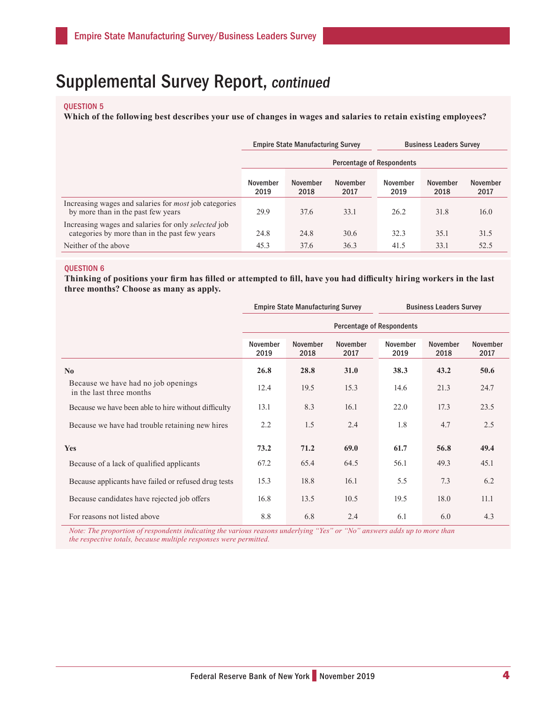#### QUESTION 5

**Which of the following best describes your use of changes in wages and salaries to retain existing employees?**

|                                                                                                      |                                  | <b>Empire State Manufacturing Survey</b> |                  | <b>Business Leaders Survey</b> |                  |                  |  |
|------------------------------------------------------------------------------------------------------|----------------------------------|------------------------------------------|------------------|--------------------------------|------------------|------------------|--|
|                                                                                                      | <b>Percentage of Respondents</b> |                                          |                  |                                |                  |                  |  |
|                                                                                                      | November<br>2019                 | November<br>2018                         | November<br>2017 | November<br>2019               | November<br>2018 | November<br>2017 |  |
| Increasing wages and salaries for <i>most</i> job categories<br>by more than in the past few years   | 29.9                             | 37.6                                     | 33.1             | 26.2                           | 31.8             | 16.0             |  |
| Increasing wages and salaries for only selected job<br>categories by more than in the past few years | 24.8                             | 24.8                                     | 30.6             | 32.3                           | 35.1             | 31.5             |  |
| Neither of the above                                                                                 | 45.3                             | 37.6                                     | 36.3             | 41.5                           | 33.1             | 52.5             |  |

#### QUESTION 6

**Thinking of positions your firm has filled or attempted to fill, have you had difficulty hiring workers in the last three months? Choose as many as apply.**

|                                                                 |                                  | <b>Empire State Manufacturing Survey</b> |                  | <b>Business Leaders Survey</b> |                  |                         |  |
|-----------------------------------------------------------------|----------------------------------|------------------------------------------|------------------|--------------------------------|------------------|-------------------------|--|
|                                                                 | <b>Percentage of Respondents</b> |                                          |                  |                                |                  |                         |  |
|                                                                 | November<br>2019                 | November<br>2018                         | November<br>2017 | November<br>2019               | November<br>2018 | <b>November</b><br>2017 |  |
| $\mathbf{N}\mathbf{0}$                                          | 26.8                             | 28.8                                     | <b>31.0</b>      | 38.3                           | 43.2             | 50.6                    |  |
| Because we have had no job openings<br>in the last three months | 12.4                             | 19.5                                     | 15.3             | 14.6                           | 21.3             | 24.7                    |  |
| Because we have been able to hire without difficulty            | 13.1                             | 8.3                                      | 16.1             | 22.0                           | 17.3             | 23.5                    |  |
| Because we have had trouble retaining new hires                 | 2.2                              | 1.5                                      | 2.4              | 1.8                            | 4.7              | 2.5                     |  |
| <b>Yes</b>                                                      | 73.2                             | 71.2                                     | 69.0             | 61.7                           | 56.8             | 49.4                    |  |
| Because of a lack of qualified applicants                       | 67.2                             | 65.4                                     | 64.5             | 56.1                           | 49.3             | 45.1                    |  |
| Because applicants have failed or refused drug tests            | 15.3                             | 18.8                                     | 16.1             | 5.5                            | 7.3              | 6.2                     |  |
| Because candidates have rejected job offers                     | 16.8                             | 13.5                                     | 10.5             | 19.5                           | 18.0             | 11.1                    |  |
| For reasons not listed above                                    | 8.8                              | 6.8                                      | 2.4              | 6.1                            | 6.0              | 4.3                     |  |

*Note: The proportion of respondents indicating the various reasons underlying "Yes" or "No" answers adds up to more than the respective totals, because multiple responses were permitted.*